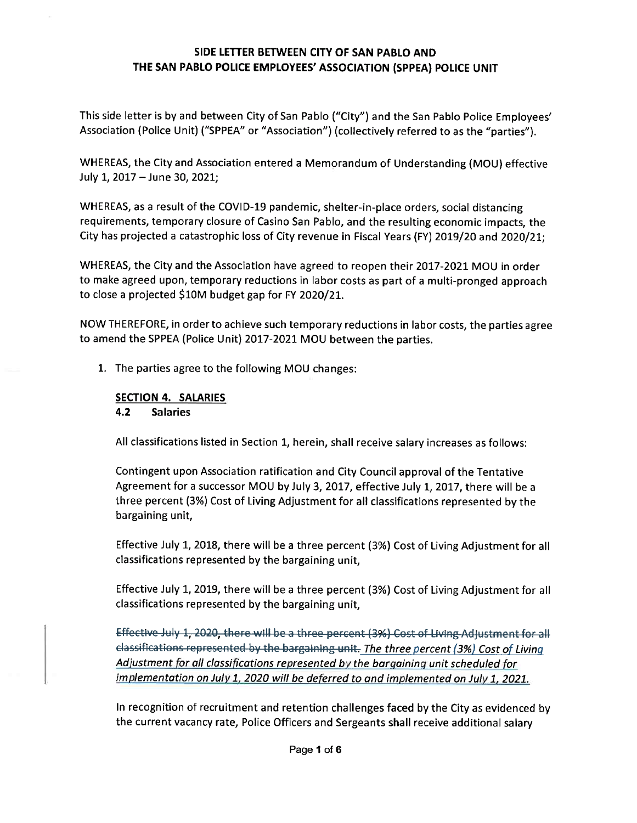This side letter is by and between City of San Pablo ("City") and the San Pablo Police Employees' Association (Police Unit) ("SPPEA" or "Association") (collectively referred to as the "parties").

WHEREAS, the City and Association entered a Memorandum of Understanding (MOU) effective July 1, 2017 - June 30, 2021;

WHEREAS, as a result of the COVID-19 pandemic, shelter-in-place orders, social distancing requirements, temporary closure of Casino San Pablo, and the resulting economic impacts, the City has projected a catastrophic loss of City revenue in Fiscal Years (FY) 2019/20 and 2020/21;

WHEREAS, the City and the Association have agreed to reopen their 2017-2021MOU in order to make agreed upon, temporary reductions in labor costs as part of a multi-pronged approach to close a projected \$10M budget gap for FY 2020/21.

NOW THEREFORE, in order to achieve such temporary reductions in labor costs, the parties agree to amend the SPPEA (Police Unit) 2017-2021 MOU between the parties.

1. The parties agree to the following MOU changes:

#### SECTION 4. SALARIES 4.2 Salaries

All classifications listed in Section 1, herein, shall receive salary increases as follows

Contingent upon Association ratification and City Councilapprovalof the Tentative Agreement for a successor MOU by July 3, 2017, effective July 1, 2017, there will be a three percent (3%) Cost of Living Adjustment for all classifications represented by the bargaining unit,

Effective July 1, 2018, there will be a three percent (3%) Cost of Living Adjustment for all classifications represented by the bargaining unit,

Effective July 1, 2019, there will be a three percent (3%) Cost of Living Adjustment for all classifications represented by the bargaining unit,

Effective July 1, 2020, there will be a three percent (3%) Cost of Living Adjustment for all elassifications represented by the bargaining unit. The three percent (3%) Cost of Living Adjustment for all classifications represented by the bargaining unit scheduled for implementation on July 1, 2020 will be deferred to and implemented on July 1, 2021.

In recognition of recruitment and retention challenges faced by the City as evidenced by the current vacancy rate, Police Officers and Sergeants shall receive additional salary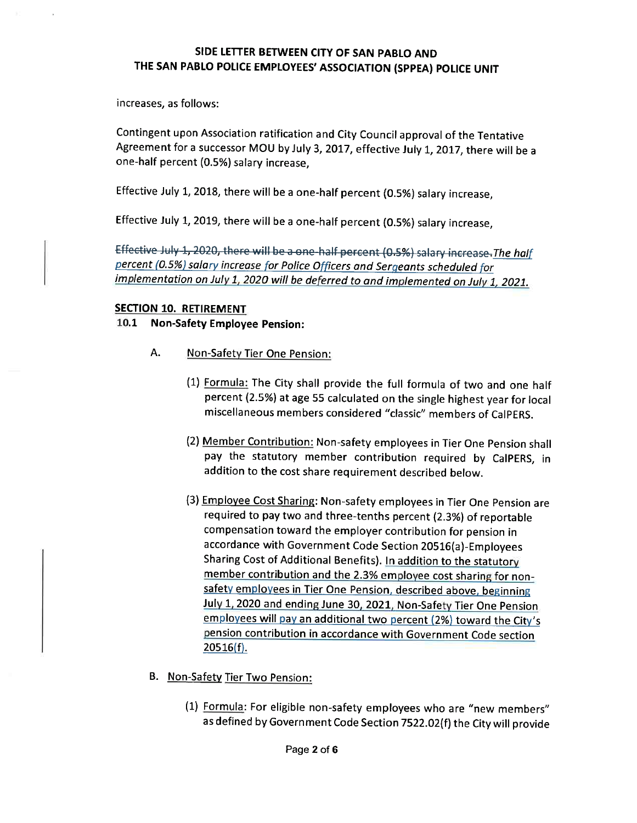increases, as follows

Contingent upon Association ratification and City Councilapprovalof the Tentative Agreement for a successor MOU by July 3, 2017, effective July 1, 2017, there will be a one-half percent(0.5%) salary increase,

Effective July 1, 2018, there will be a one-half percent (0.5%) salary increase,

Effective July 1, 2019, there will be a one-half percent (0.5%) salary increase,

Effective July 1, 2020, there will be a one-half percent (0.5%) salary increase. The half percent (0.5%) salary increase for Police Officers and Sergeants scheduled for<br>implementation on July 1, 2020 will be deferred to and implemented on July 1, 2021.

#### SECTION 10. RETIREMENT

10.1 Non-Safety Employee Pension

- A. Non-Safety Tier One Pension:
	- (1) Formula: The City shall provide the full formula of two and one half percent (2.5%) at age 55 calculated on the single highest year for local miscellaneous members considered "classic" members of CalPERS.
	- (2) Member Contribution: Non-safety employees in Tier One Pension shall pay the statutory member contribution required by CalPERS, in addition to the cost share requirement described below.
	- (3) Employee Cost Sharing: Non-safety employees in Tier One Pension are required to pay two and three-tenths percent(2.3%) of reportable compensation toward the employer contribution for pension in accordance with Government Code Section 20516(a)-Employees Sharing Cost of Additional Benefits). In addition to the statutory member contribution and the 2.3% employee cost sharing for nonsafety employees in Tier One Pension, described above, beginning July 1, 2020 and ending June 30, 2021, Non-Safety Tier One Pension employees will pay an additional two percent (2%) toward the City's pension contribution in accordance with Government Code section  $20516(f)$ .
- B. Non-Safety Tier Two Pension:
	- (1) Formula: For eligible non-safety employees who are "new members" as defined by Government Code Section 7522.02(f) the City will provide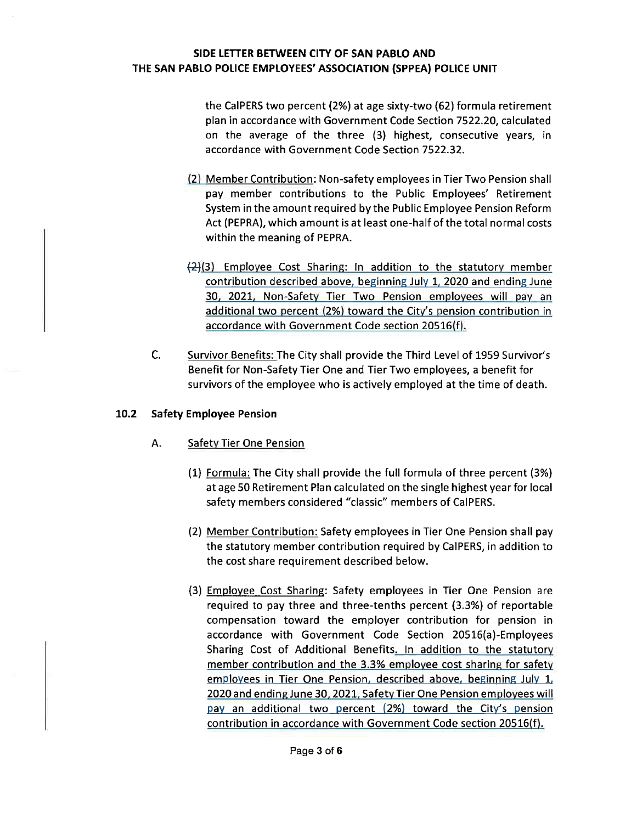the CalPERS two percent(2%) at age sixty-two(62) formula retirement plan in accordance with Government Code Section 7522.20, calculated on the average of the three (3) highest, consecutive years, in accordance with Government Code Section 7522.32

- (2) Member Contribution: Non-safety employees in Tier Two Pension shall pay member contributions to the Public Employees' Retirement System in the amount required bythe Public Employee Pension Reform Act (PEPRA), which amount is at least one-half of the total normal costs within the meaning of PEPRA.
- $\left\langle 2\right\rangle$ (3) Employee Cost Sharing: In addition to the statutory member contribution described above, beginning July 1, 2020 and ending June 30, 2021, Non-Safety Tier Two Pension employees will pav an additional two percent (2%) toward the City's pension contribution in accordance with Government Code section 20516(f).
- C. Survivor Benefits: The City shall provide the Third Level of 1959 Survivor's Benefit for Non-Safety Tier One and Tier Two employees, a benefit for survivors of the employee who is actively employed at the time of death.

## 10.2 Safety Employee Pension

- A. Safetv Tier One Pension
	- (1) Formula: The City shall provide the full formula of three percent (3%) at age 50 Retirement Plan calculated on the single highest year for local safety members considered "classic" members of CalPERS.
	- l2) Member Contribution: Safety employees in Tier One Pension shallpay the statutory member contribution required by CalPERS, in addition to the cost share requirement described below.
	- l3) Employee Cost Sharing: Safety employees in Tier One Pension are required to pay three and three-tenths percent (3.3%) of reportable compensation toward the employer contribution for pension in accordance with Government Code Section 20516(a)-Employees Sharing Cost of Additional Benefits. In addition to the statutory member contribution and the 3.3% employee cost sharing for safety employees in Tier One Pension, described above, beginning July 1, 2020 and ending June 30, 2021, Safety Tier One Pension employees will pay an additional two percent (2%) toward the City's pension contribution in accordance with Government Code section 20516(f).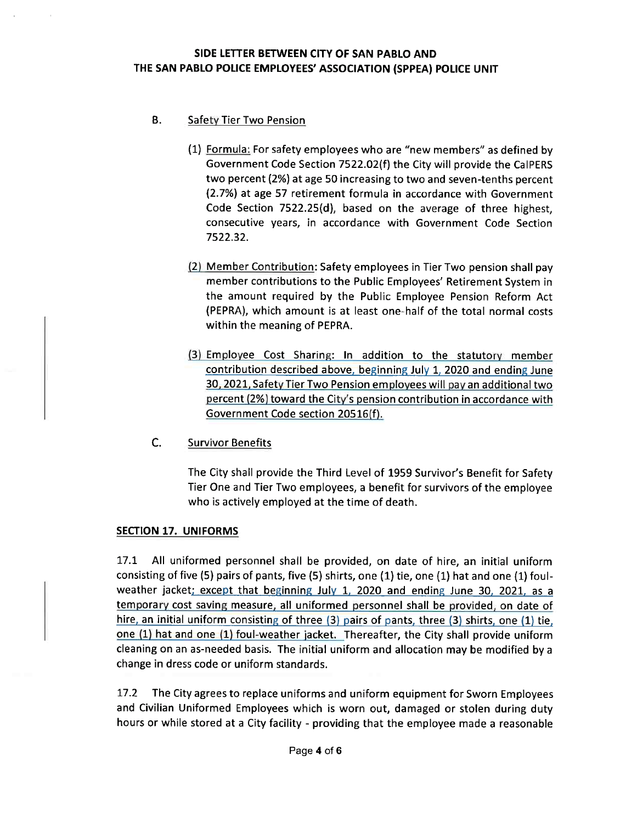# **B.** Safety Tier Two Pension

- (1) Formula: For safety employees who are "new members" as defined by Government Code Section 7522.02(f) the City will provide the CalPERS two percent(2%) at age 50 increasing to two and seven-tenths percent l2.7%) at age 57 retirement formula in accordance with Government Code Section 7522.25(d), based on the average of three highest, consecutive years, in accordance with Government Code Section 7522.32
- (2) Member Contribution: Safety employees in Tier Two pension shall pay member contributions to the Public Employees' Retirement System in the amount required by the Public Employee Pension Reform Act (PEPRA), which amount is at least one-half of the total normal costs within the meaning of PEPRA.
- (3) Employee Cost Sharing: in addition to the statutorv member contribution described above, beginning July 1, 2020 and ending June 30, 2021, Safety Tier Two Pension employees will pay an additional two percent(2%) toward the City's pension contribution in accordance with Government Code section 20516(f).
- c. Survivor Benefits

The City shall provide the Third Level of 1959 Survivor's Benefit for Safety Tier One and Tier Two employees, a benefit for survivors of the employee who is actively employed at the time of death.

#### SECTION 17. UNIFORMS

17.1 All uniformed personnel shall be provided, on date of hire, an initial uniform consisting of five (5) pairs of pants, five (5) shirts, one (1) tie, one (1) hat and one (1) foulweather jacket; except that beginning July 1, 2020 and ending June 30, 2021, as a temporary cost saving measure, all uniformed personnel shall be provided, on date of hire, an initial uniform consisting of three  $(3)$  pairs of pants, three  $(3)$  shirts, one  $(1)$  tie, one (1) hat and one (1) foul-weather jacket. Thereafter, the City shall provide uniform cleaning on an as-needed basis. The initial uniform and allocation may be modified by a change in dress code or uniform standards.

17.2 The City agrees to replace uniforms and uniform equipment for Sworn Employees and Civilian Uniformed Employees which is worn out, damaged or stolen during duty hours or while stored at a City facility - providing that the employee made a reasonable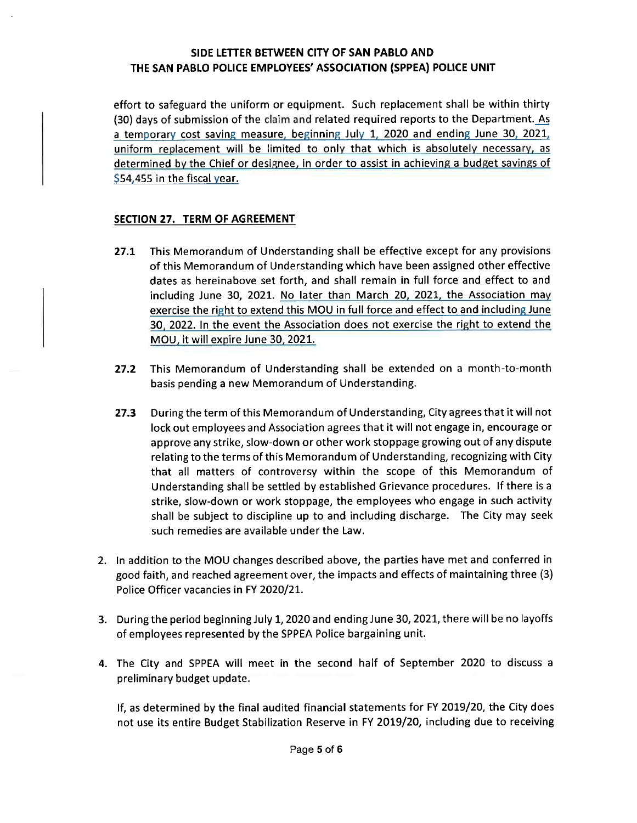effort to safeguard the uniform or equipment. Such replacement shall be within thirty  $(30)$  days of submission of the claim and related required reports to the Department. As a temoorarv cost saving measure. beginning July 1, 2020 and ending June 30, 2021. uniform replacement will be limited to only that which is absolutely necessary, as determined by the Chief or designee, in order to assist in achieving a budget savings of  $$54,455$  in the fiscal year.

# SECTION 27. TERM OF AGREEMENT

- 27.1 This Memorandum of Understanding shall be effective except for any provisions of this Memorandum of Understanding which have been assigned other effective dates as hereinabove set forth, and shall remain in full force and effect to and including June 30, 2021. No later than March 20, 2021, the Association ma exercise the right to extend this MOU in full force and effect to and including June 30. 2022. In the event the Association does not exercise the right to extend the MOU, it willexpire June 30, 2021.
- 27.2 This Memorandum of Understanding shall be extended on a month-to-month basis pending a new Memorandum of Understanding.
- 27.3 During the term of this Memorandum of Understanding, City agrees that it will not lock out employees and Association agrees that it will not engage in, encourage or approve any strike, slow-down or other work stoppage growing out of any dispute relating to the terms of this Memorandum of Understanding, recognizing with City that all matters of controversy within the scope of this Memorandum of Understanding shall be settled by established Grievance procedures. If there is a strike, slow-down or work stoppage, the employees who engage in such activity shall be subject to discipline up to and including discharge. The City may seek such remedies are available under the Law.
- 2. In addition to the MOU changes described above, the parties have met and conferred in good faith, and reached agreement over, the impacts and effects of maintaining three(3) Police Officer vacancies in FY 2020/21.
- 3. During the period beginning July 1, 2020 and ending June 30, 2021, there will be no layoffs of employees represented by the SPPEA Police bargaining unit.
- 4. The City and SPPEA will meet in the second half of September 2020 to discuss a preliminary budget update

If, as determined by the final audited financial statements for FY 2019/20, the City does not use its entire Budget Stabilization Reserve in FY 2019/20, including due to receiving